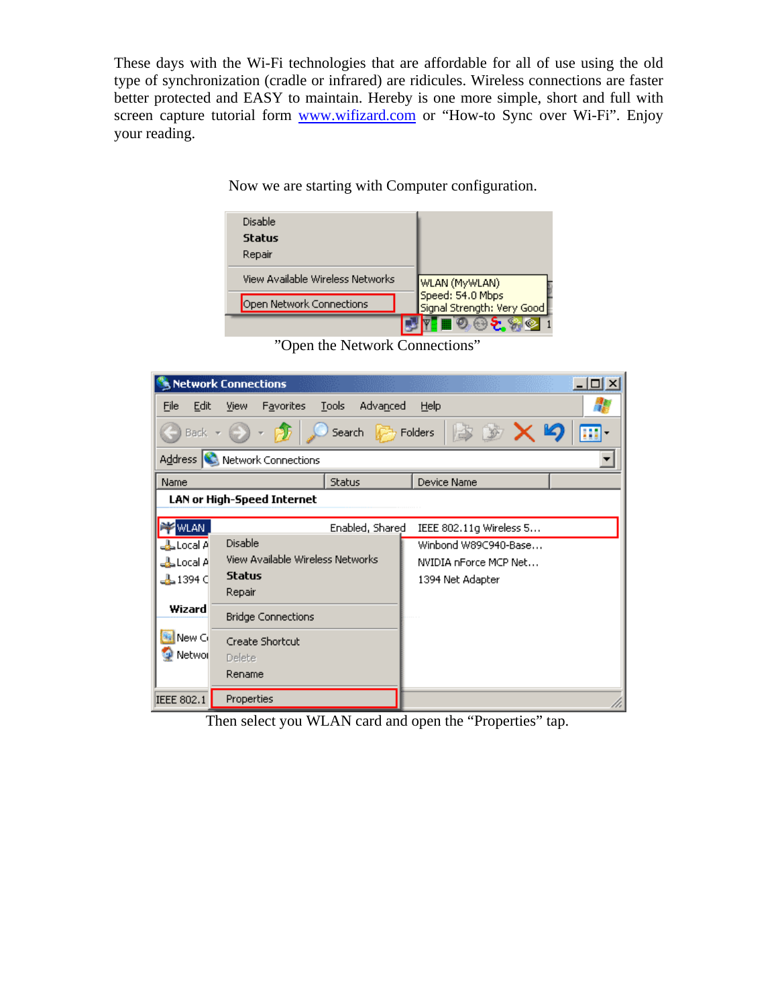These days with the Wi-Fi technologies that are affordable for all of use using the old type of synchronization (cradle or infrared) are ridicules. Wireless connections are faster better protected and EASY to maintain. Hereby is one more simple, short and full with screen capture tutorial form [www.wifizard.com](http://www.wifizard.com/) or "How-to Sync over Wi-Fi". Enjoy your reading.

| Disable<br>Status<br>Repair      |                                                  |
|----------------------------------|--------------------------------------------------|
| View Available Wireless Networks | WLAN (MyWLAN)                                    |
| Open Network Connections         | Speed: 54.0 Mbps<br>  Signal Strength: Very Good |
|                                  |                                                  |

Now we are starting with Computer configuration.

"Open the Network Connections"

|                                 | <b>Network Connections</b>                                  |                   |                         | $ \Box$ $\times$ |
|---------------------------------|-------------------------------------------------------------|-------------------|-------------------------|------------------|
| Eile<br>Edit                    | <b>Favorites</b><br>View                                    | Tools<br>Advanced | Help                    |                  |
|                                 | $\mathbb{R} \times \mathbb{Z}$<br>Search<br>Folders<br>Back |                   |                         |                  |
|                                 | Address <b>C</b><br>Network Connections                     |                   |                         |                  |
| Name                            |                                                             | <b>Status</b>     | Device Name             |                  |
|                                 | <b>LAN or High-Speed Internet</b>                           |                   |                         |                  |
| WLAN.                           |                                                             | Enabled, Shared   | IEEE 802.11g Wireless 5 |                  |
| <b>B</b> Local A                | <b>Disable</b>                                              |                   | Winbond W89C940-Base    |                  |
| b Local A                       | View Available Wireless Networks                            |                   | NVIDIA nForce MCP Net   |                  |
| <b>ا) 1394</b> ط <mark>ے</mark> | <b>Status</b>                                               |                   | 1394 Net Adapter        |                  |
|                                 | Repair                                                      |                   |                         |                  |
| Wizard                          | <b>Bridge Connections</b>                                   |                   |                         |                  |
| New Cr                          | Create Shortcut                                             |                   |                         |                  |
| <b>Networ</b>                   | Delete                                                      |                   |                         |                  |
|                                 | Rename                                                      |                   |                         |                  |
| <b>IEEE 802.1</b>               | Properties                                                  |                   |                         |                  |

Then select you WLAN card and open the "Properties" tap.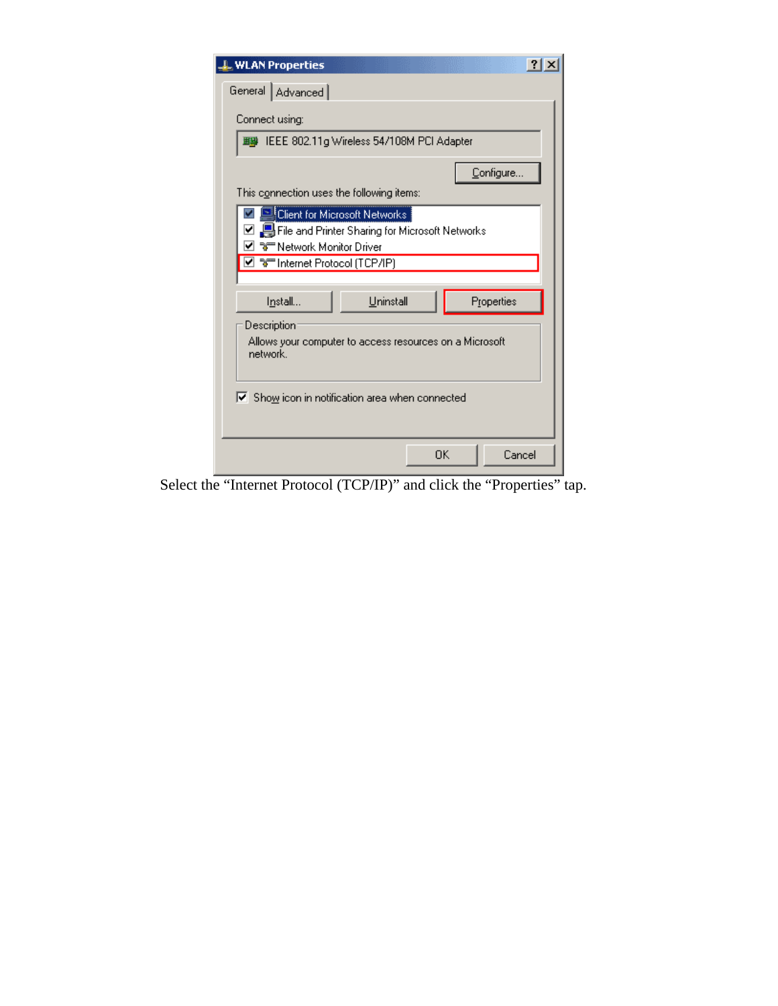| ?<br><b>WLAN Properties</b>                                                                                                    |
|--------------------------------------------------------------------------------------------------------------------------------|
| General   Advanced                                                                                                             |
| Connect using:                                                                                                                 |
| ■ IEEE 802.11g Wireless 54/108M PCI Adapter                                                                                    |
| Configure                                                                                                                      |
| This c <u>o</u> nnection uses the following items:                                                                             |
| <b>Client for Microsoft Networks</b><br>☑ 9 File and Printer Sharing for Microsoft Networks<br><b>ि Network Monitor Driver</b> |
| ⊠ °ानाemet Protocol (TCP/IP)                                                                                                   |
| Properties<br>Uninstall<br>Install                                                                                             |
| Description                                                                                                                    |
| Allows your computer to access resources on a Microsoft<br>network.                                                            |
| $\blacktriangleright$ Show icon in notification area when connected                                                            |
| Cancel<br>ОK                                                                                                                   |

Select the "Internet Protocol (TCP/IP)" and click the "Properties" tap.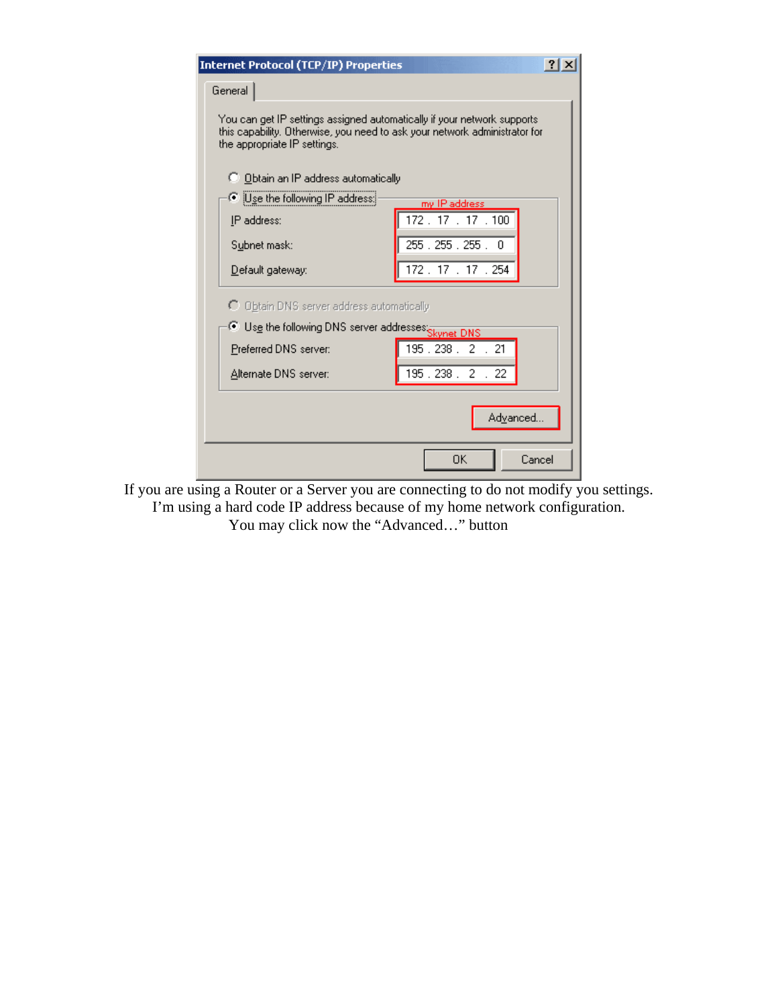| Internet Protocol (TCP/IP) Properties                                                                                                                                                  | ? x                 |  |
|----------------------------------------------------------------------------------------------------------------------------------------------------------------------------------------|---------------------|--|
| General                                                                                                                                                                                |                     |  |
| You can get IP settings assigned automatically if your network supports.<br>this capability. Otherwise, you need to ask your network administrator for<br>the appropriate IP settings. |                     |  |
| ◯ Obtain an IP address automatically                                                                                                                                                   |                     |  |
| © ¡Use the following IP address:                                                                                                                                                       | my IP address.      |  |
| IP address:                                                                                                                                                                            | 172.17.17.100       |  |
| Subnet mask:                                                                                                                                                                           | 255 . 255 . 255 . 0 |  |
| Default gateway:                                                                                                                                                                       | 172.17.17.254       |  |
| C Obtain DNS server address automatically                                                                                                                                              |                     |  |
| Use the following DNS server addresses: Skynet DNS                                                                                                                                     |                     |  |
| Preferred DNS server:                                                                                                                                                                  | 195.238. 2. 21      |  |
| Alternate DNS server:                                                                                                                                                                  | 195.238.2.2         |  |
| Advanced                                                                                                                                                                               |                     |  |
|                                                                                                                                                                                        | OΚ<br>Cancel        |  |

If you are using a Router or a Server you are connecting to do not modify you settings. I'm using a hard code IP address because of my home network configuration. You may click now the "Advanced…" button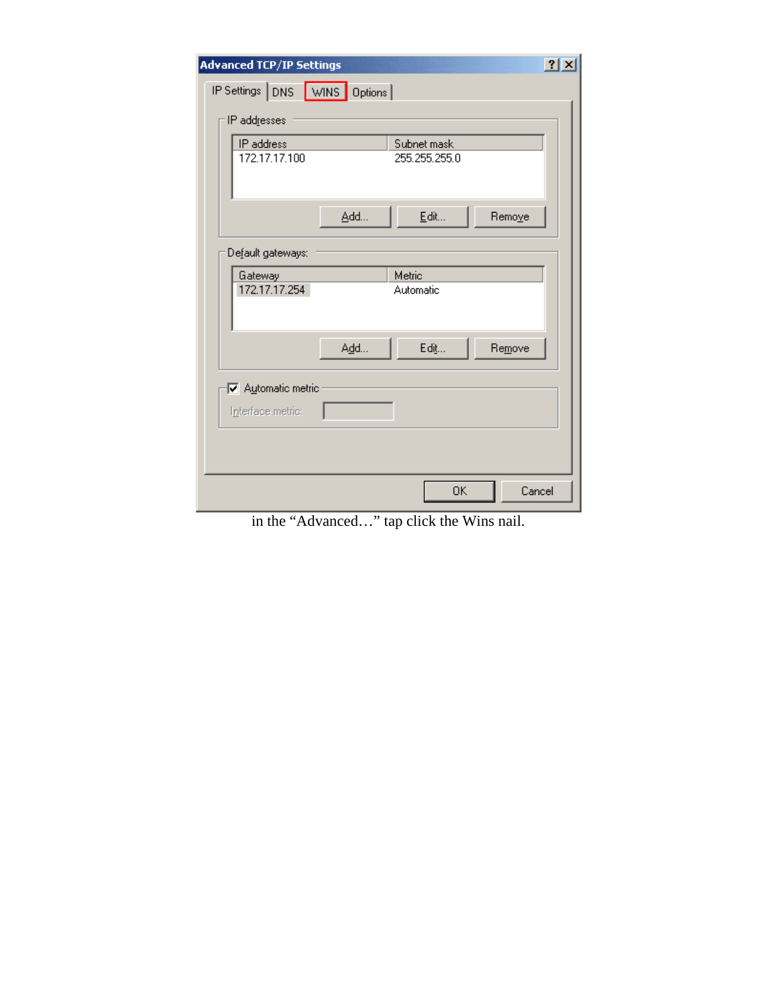| <b>Advanced TCP/IP Settings</b>       |                              | 2x     |
|---------------------------------------|------------------------------|--------|
| IP Settings DNS WINS Options          |                              |        |
| IP addresses                          |                              |        |
| IP address<br>172.17.17.100           | Subnet mask<br>255.255.255.0 |        |
| Add                                   | Edit                         | Remove |
| Default gateways:                     |                              |        |
| Gateway<br>172.17.17.254              | Metric<br>Automatic          |        |
| Add                                   | Edit                         | Remove |
| Automatic metric<br>Interface metric: |                              |        |
|                                       |                              |        |
|                                       | OK                           | Cancel |

in the "Advanced…" tap click the Wins nail.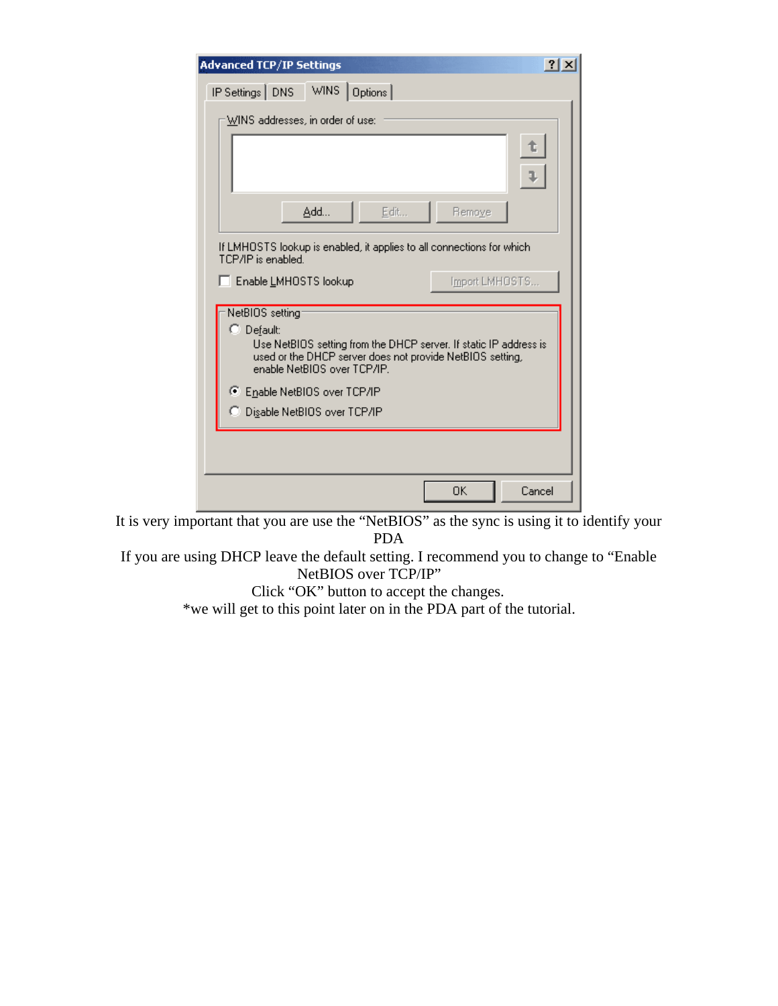| <b>Advanced TCP/IP Settings</b><br>$ ?  \times$                                                                                                                                                |
|------------------------------------------------------------------------------------------------------------------------------------------------------------------------------------------------|
| WINS<br>IP Settings   DNS<br>Options                                                                                                                                                           |
| WINS addresses, in order of use:                                                                                                                                                               |
| t,                                                                                                                                                                                             |
| Edit<br>Add<br>Remove                                                                                                                                                                          |
| If LMHOSTS lookup is enabled, it applies to all connections for which<br>TCP/IP is enabled.                                                                                                    |
| Import LMHOSTS<br>E Enable LMHOSTS lookup                                                                                                                                                      |
| NetBIOS setting<br>C Default:<br>Use NetBIOS setting from the DHCP server. If static IP address is<br>used or the DHCP server does not provide NetBIOS setting,<br>enable NetBIOS over TCP/IP. |
| ● Enable NetBIOS over TCP/IP                                                                                                                                                                   |
| C Disable NetBIOS over TCP/IP                                                                                                                                                                  |
|                                                                                                                                                                                                |
| OK<br>Cancel                                                                                                                                                                                   |

It is very important that you are use the "NetBIOS" as the sync is using it to identify your PDA

If you are using DHCP leave the default setting. I recommend you to change to "Enable NetBIOS over TCP/IP"

Click "OK" button to accept the changes.

\*we will get to this point later on in the PDA part of the tutorial.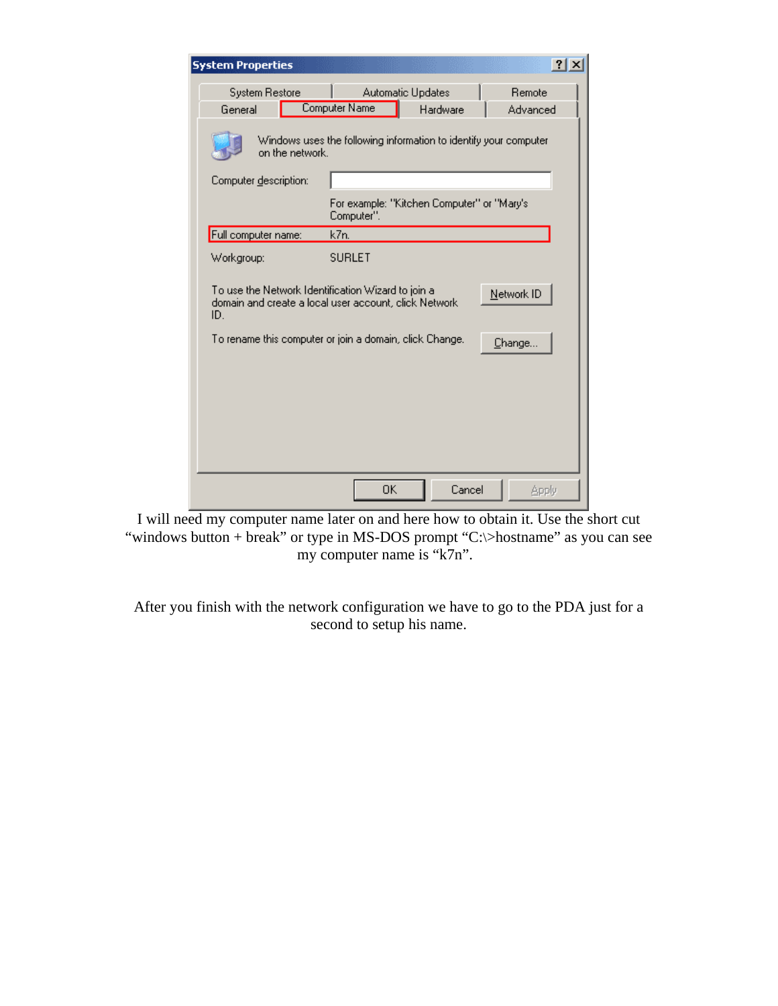| <b>System Properties</b>                                                                                                         |                                                              | $?$ $\times$       |  |
|----------------------------------------------------------------------------------------------------------------------------------|--------------------------------------------------------------|--------------------|--|
| <b>System Restore</b><br>General                                                                                                 | <b>Automatic Updates</b><br><b>Computer Name</b><br>Hardware | Remote<br>Advanced |  |
| Windows uses the following information to identify your computer<br>on the network.                                              |                                                              |                    |  |
| Computer description:                                                                                                            |                                                              |                    |  |
|                                                                                                                                  | For example: "Kitchen Computer" or "Mary's<br>Computer".     |                    |  |
| Full computer name:                                                                                                              | k7n.                                                         |                    |  |
| Workgroup:                                                                                                                       | <b>SURLET</b>                                                |                    |  |
| To use the Network Identification Wizard to join a<br>Network ID<br>domain and create a local user account, click Network<br>ID. |                                                              |                    |  |
|                                                                                                                                  | To rename this computer or join a domain, click Change.      | Change             |  |
|                                                                                                                                  |                                                              |                    |  |
|                                                                                                                                  |                                                              |                    |  |
|                                                                                                                                  |                                                              |                    |  |
|                                                                                                                                  | OK<br>Cancel                                                 | Apply              |  |

I will need my computer name later on and here how to obtain it. Use the short cut "windows button + break" or type in MS-DOS prompt "C:\>hostname" as you can see my computer name is "k7n".

After you finish with the network configuration we have to go to the PDA just for a second to setup his name.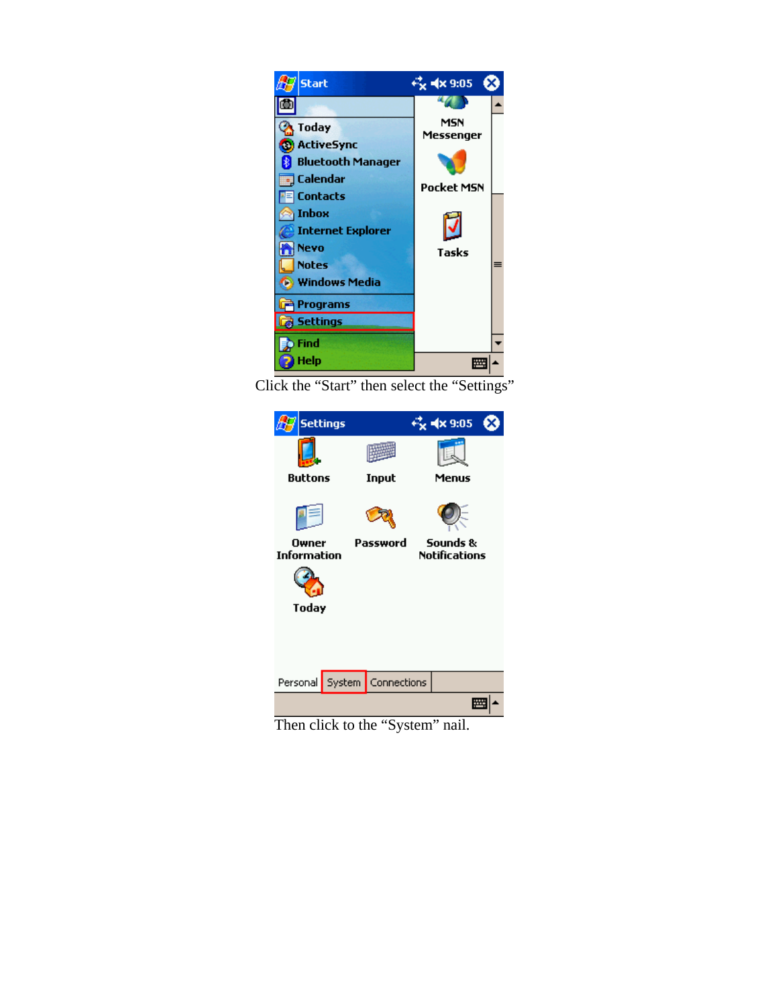

Click the "Start" then select the "Settings"



Then click to the "System" nail.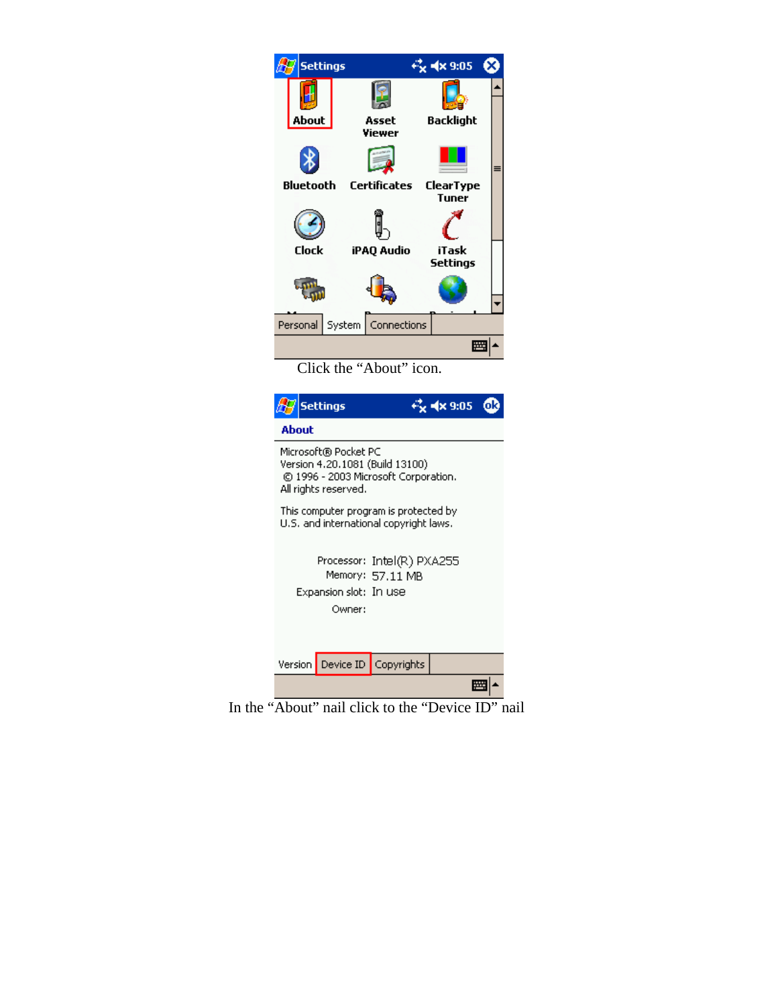|                    | <b>Settings</b>                              |                                                                                                                                                            | € 4x 9:05                                   |
|--------------------|----------------------------------------------|------------------------------------------------------------------------------------------------------------------------------------------------------------|---------------------------------------------|
| About<br>Bluetooth |                                              | Asset<br>Viewer<br>Certificates                                                                                                                            | Backlight<br>≡<br>ClearType<br><b>Tuner</b> |
| Clock              |                                              | iPAQ Audio                                                                                                                                                 | iTask<br>Settings                           |
| Personal l         |                                              | System   Connections                                                                                                                                       |                                             |
| About              | <b>Settings</b>                              |                                                                                                                                                            | ſοk                                         |
|                    | Microsoft® Pocket PC<br>All rights reserved. | Version 4.20.1081 (Build 13100)<br>© 1996 - 2003 Microsoft Corporation.<br>This computer program is protected by<br>U.S. and international copyright laws. |                                             |
|                    |                                              | Processor: Intel(R) PXA255<br>Memory: 57.11 MB                                                                                                             |                                             |
|                    | Expansion slot: In use<br>Owner:             |                                                                                                                                                            |                                             |

In the "About" nail click to the "Device ID" nail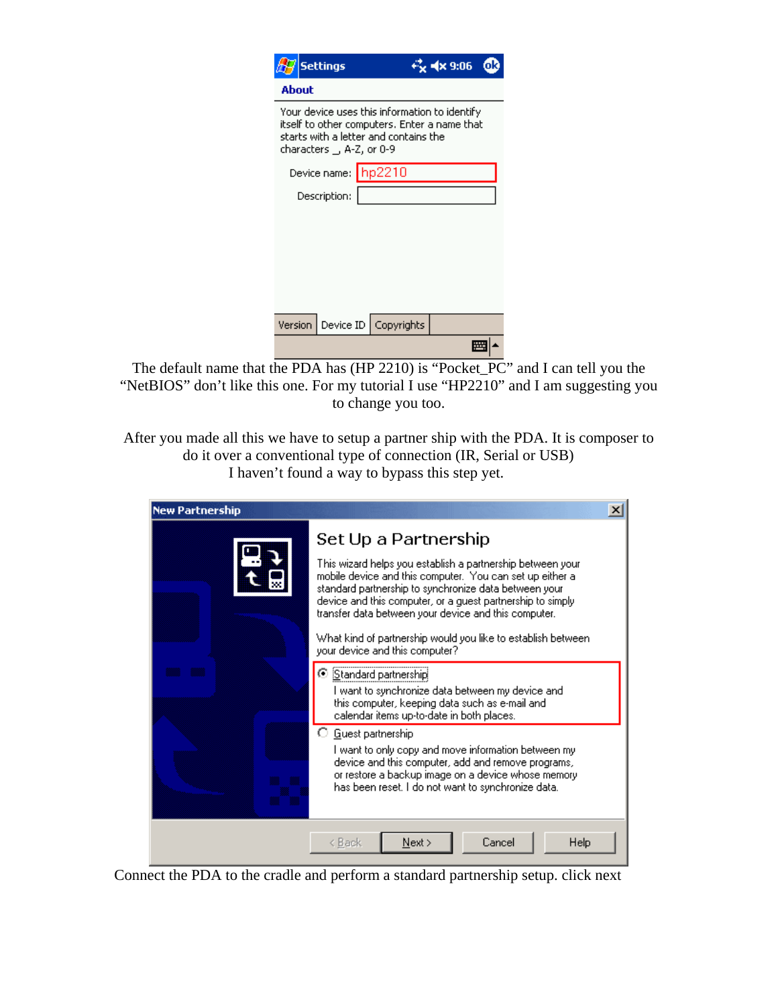|                                                                                                                                                                     | <b>Settings</b> |                              | $4 \times 9:06$ |  |
|---------------------------------------------------------------------------------------------------------------------------------------------------------------------|-----------------|------------------------------|-----------------|--|
| About                                                                                                                                                               |                 |                              |                 |  |
| Your device uses this information to identify<br>itself to other computers. Enter a name that<br>starts with a letter and contains the<br>characters _, A-Z, or 0-9 |                 |                              |                 |  |
| Device name: hp2210                                                                                                                                                 |                 |                              |                 |  |
| Description:                                                                                                                                                        |                 |                              |                 |  |
|                                                                                                                                                                     |                 |                              |                 |  |
|                                                                                                                                                                     |                 |                              |                 |  |
|                                                                                                                                                                     |                 |                              |                 |  |
|                                                                                                                                                                     |                 |                              |                 |  |
|                                                                                                                                                                     |                 |                              |                 |  |
|                                                                                                                                                                     |                 | Version Device ID Copyrights |                 |  |
|                                                                                                                                                                     |                 |                              |                 |  |

The default name that the PDA has (HP 2210) is "Pocket\_PC" and I can tell you the "NetBIOS" don't like this one. For my tutorial I use "HP2210" and I am suggesting you to change you too.

After you made all this we have to setup a partner ship with the PDA. It is composer to do it over a conventional type of connection (IR, Serial or USB) I haven't found a way to bypass this step yet.



Connect the PDA to the cradle and perform a standard partnership setup. click next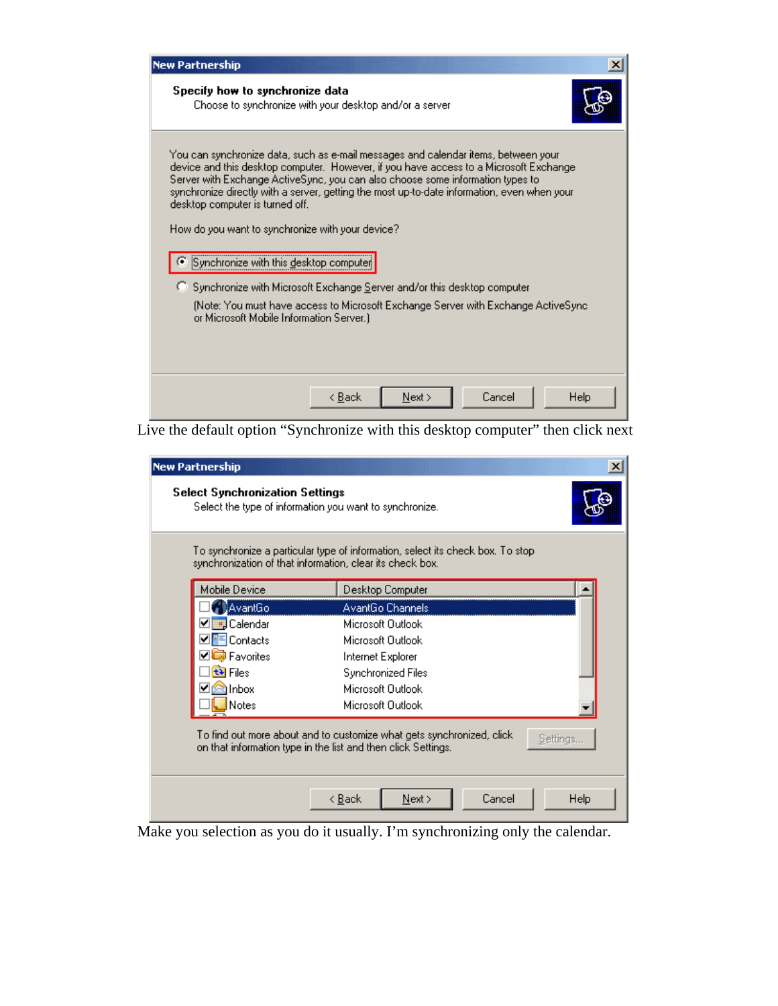| <b>New Partnership</b>                                                                                                                                                                                                                                                                                                                                                                                                                              |  |  |  |
|-----------------------------------------------------------------------------------------------------------------------------------------------------------------------------------------------------------------------------------------------------------------------------------------------------------------------------------------------------------------------------------------------------------------------------------------------------|--|--|--|
| Specify how to synchronize data<br>Choose to synchronize with your desktop and/or a server                                                                                                                                                                                                                                                                                                                                                          |  |  |  |
| You can synchronize data, such as e-mail messages and calendar items, between your<br>device and this desktop computer. However, if you have access to a Microsoft Exchange<br>Server with Exchange ActiveSync, you can also choose some information types to<br>synchronize directly with a server, getting the most up-to-date information, even when your<br>desktop computer is turned off.<br>How do you want to synchronize with your device? |  |  |  |
| Synchronize with this desktop computer<br>C Synchronize with Microsoft Exchange Server and/or this desktop computer                                                                                                                                                                                                                                                                                                                                 |  |  |  |
| (Note: You must have access to Microsoft Exchange Server with Exchange ActiveSync<br>or Microsoft Mobile Information Server.)                                                                                                                                                                                                                                                                                                                       |  |  |  |
|                                                                                                                                                                                                                                                                                                                                                                                                                                                     |  |  |  |
| Next ><br>Cancel<br><b>Help</b><br>< Back                                                                                                                                                                                                                                                                                                                                                                                                           |  |  |  |

Live the default option "Synchronize with this desktop computer" then click next

| <b>New Partnership</b>                                                                            | ×                                                                                                                                                   |
|---------------------------------------------------------------------------------------------------|-----------------------------------------------------------------------------------------------------------------------------------------------------|
| <b>Select Synchronization Settings</b><br>Select the type of information you want to synchronize. |                                                                                                                                                     |
| synchronization of that information, clear its check box.                                         | To synchronize a particular type of information, select its check box. To stop                                                                      |
| Mobile Device                                                                                     | Desktop Computer                                                                                                                                    |
| <b>AvantGo</b>                                                                                    | AvantGo Channels                                                                                                                                    |
| Calendar                                                                                          | Microsoft Dutlook                                                                                                                                   |
| <mark>티</mark> Contacts                                                                           | Microsoft Dutlook                                                                                                                                   |
| <b>Favorites</b>                                                                                  | Internet Explorer                                                                                                                                   |
| tal Files                                                                                         | Synchronized Files                                                                                                                                  |
| hbox <sup>3</sup>                                                                                 | Microsoft Dutlook                                                                                                                                   |
| Notes                                                                                             | Microsoft Dutlook                                                                                                                                   |
|                                                                                                   | To find out more about and to customize what gets synchronized, click.<br>Settings<br>on that information type in the list and then click Settings. |
|                                                                                                   | Cancel<br>Help<br>< <u>B</u> ack<br>Next                                                                                                            |

Make you selection as you do it usually. I'm synchronizing only the calendar.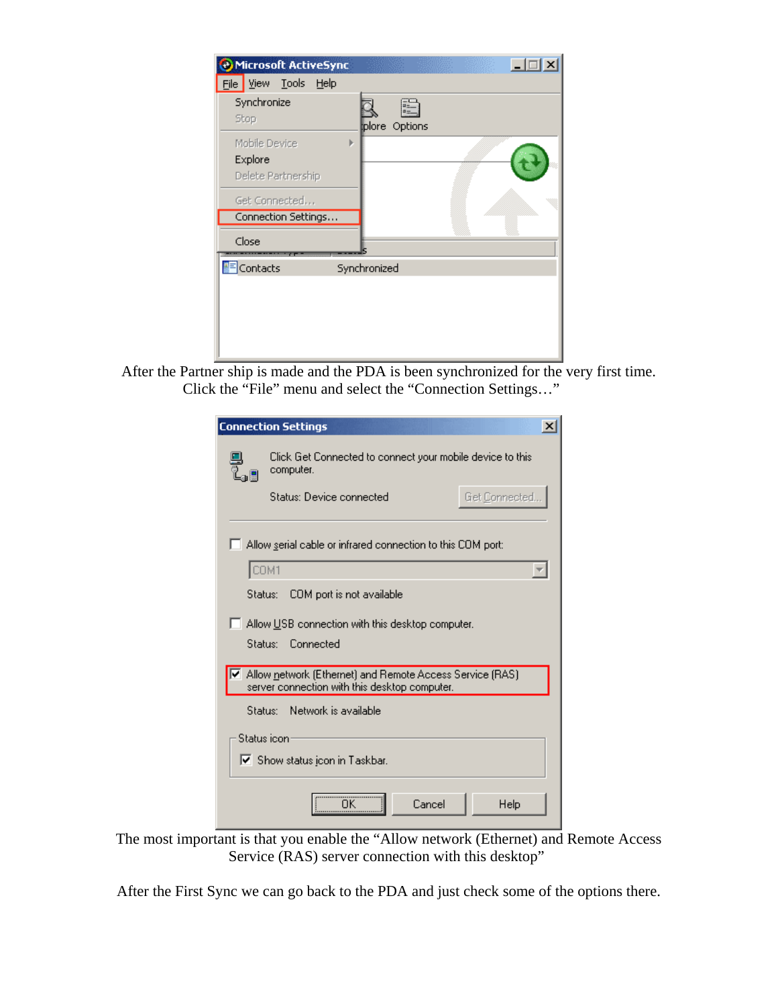| e Microsoft ActiveSync                              |                    |
|-----------------------------------------------------|--------------------|
| File View<br>Tools Help                             |                    |
| Synchronize<br>Stop                                 | E<br>plore Options |
| Mobile Device<br>k<br>Explore<br>Delete Partnership |                    |
| Get Connected<br>Connection Settings                |                    |
| Close                                               |                    |
| $\left  \frac{1}{n} \right $ Contacts               | Synchronized       |
|                                                     |                    |

After the Partner ship is made and the PDA is been synchronized for the very first time. Click the "File" menu and select the "Connection Settings…"

| <b>Connection Settings</b>                                                                                |
|-----------------------------------------------------------------------------------------------------------|
| Click Get Connected to connect your mobile device to this<br>computer.                                    |
| Get Connected<br>Status: Device connected                                                                 |
| Allow serial cable or infrared connection to this COM port:                                               |
| COM1                                                                                                      |
| COM port is not available<br>Status: I                                                                    |
| Allow USB connection with this desktop computer.<br>Status:<br>Connected                                  |
| Allow network (Ethernet) and Remote Access Service (RAS)<br>server connection with this desktop computer. |
| - Network is available<br>Status: I                                                                       |
| Status icon<br>Ⅳ Show status icon in Taskbar.                                                             |
| Cancel<br>Help                                                                                            |

The most important is that you enable the "Allow network (Ethernet) and Remote Access Service (RAS) server connection with this desktop"

After the First Sync we can go back to the PDA and just check some of the options there.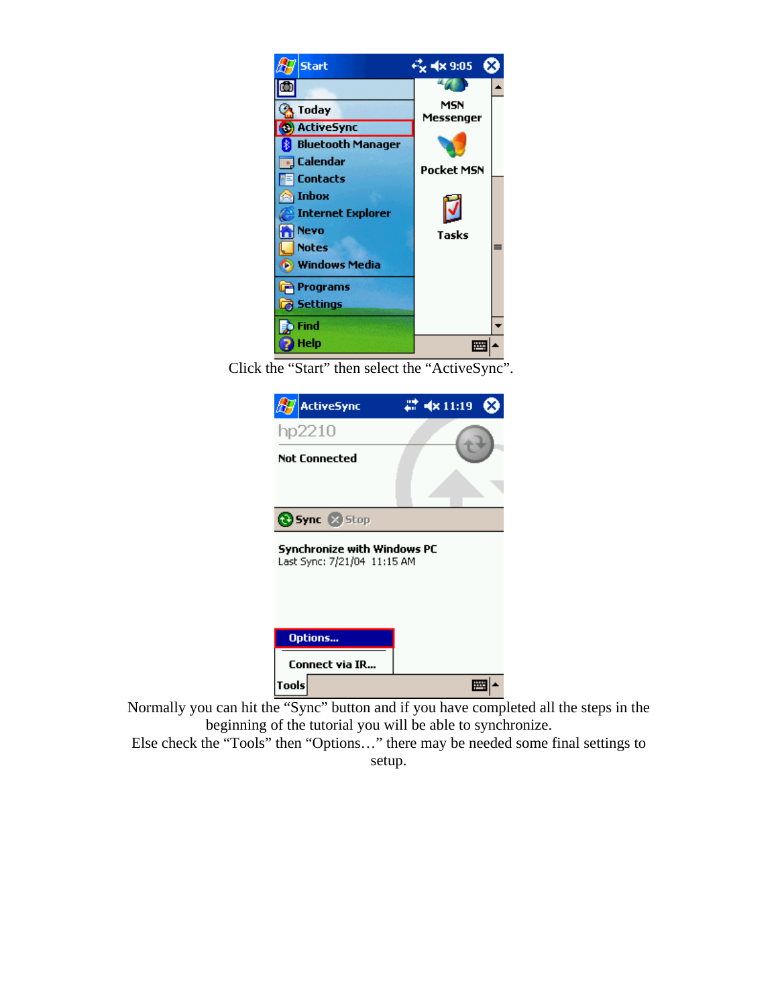

Click the "Start" then select the "ActiveSync".

| $\mathbb{Z}^2$ ActiveSync                                  | $22 - 4 \times 11:19$ |  |
|------------------------------------------------------------|-----------------------|--|
| hp2210                                                     |                       |  |
| Not Connected                                              |                       |  |
|                                                            |                       |  |
| Sync & Stop                                                |                       |  |
| Synchronize with Windows PC<br>Last Sync: 7/21/04 11:15 AM |                       |  |
| Options                                                    |                       |  |
| <b>Connect via IR</b>                                      |                       |  |
| Tools                                                      |                       |  |

Normally you can hit the "Sync" button and if you have completed all the steps in the beginning of the tutorial you will be able to synchronize.

Else check the "Tools" then "Options…" there may be needed some final settings to setup.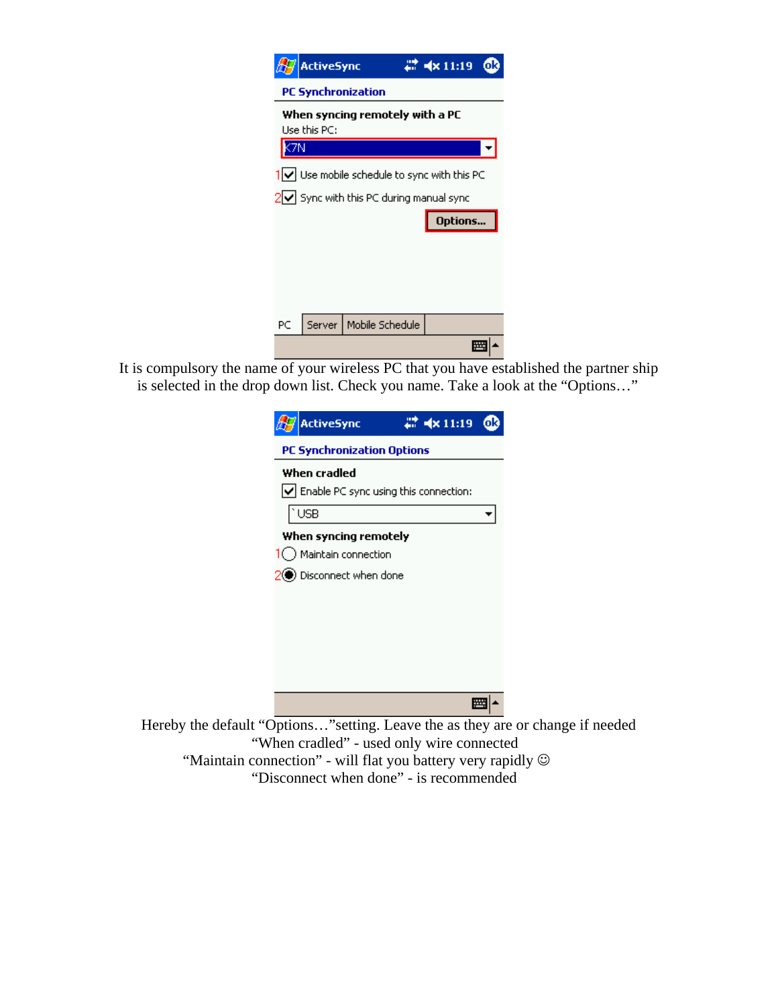| <b>ActiveSync</b>                                                             | ok<br>$4 \times 11:19$ |
|-------------------------------------------------------------------------------|------------------------|
| <b>PC Synchronization</b>                                                     |                        |
| When syncing remotely with a PC<br>Use this $PC:$                             |                        |
| <b>ON</b>                                                                     |                        |
| $\left \left  \right\rangle \right $ Use mobile schedule to sync with this PC |                        |
| $2\sqrt{ }$ Sync with this PC during manual sync                              |                        |
|                                                                               | Options                |
|                                                                               |                        |
|                                                                               |                        |
|                                                                               |                        |
|                                                                               |                        |
| Mobile Schedule<br>PC<br>Server                                               |                        |

It is compulsory the name of your wireless PC that you have established the partner ship is selected in the drop down list. Check you name. Take a look at the "Options…"

| $4 \times 11:19$<br><b>ActiveSync</b>                                    |  |  |
|--------------------------------------------------------------------------|--|--|
| <b>PC Synchronization Options</b>                                        |  |  |
| When cradled<br>$\vert \vee \vert$ Enable PC sync using this connection: |  |  |
| <b>USB</b>                                                               |  |  |
| When syncing remotely                                                    |  |  |
| $1$ Maintain connection                                                  |  |  |
| 2 <sup>0</sup> Disconnect when done                                      |  |  |
|                                                                          |  |  |
|                                                                          |  |  |
|                                                                          |  |  |
|                                                                          |  |  |
|                                                                          |  |  |
|                                                                          |  |  |

Hereby the default "Options…"setting. Leave the as they are or change if needed "When cradled" - used only wire connected "Maintain connection" - will flat you battery very rapidly  $\odot$ "Disconnect when done" - is recommended